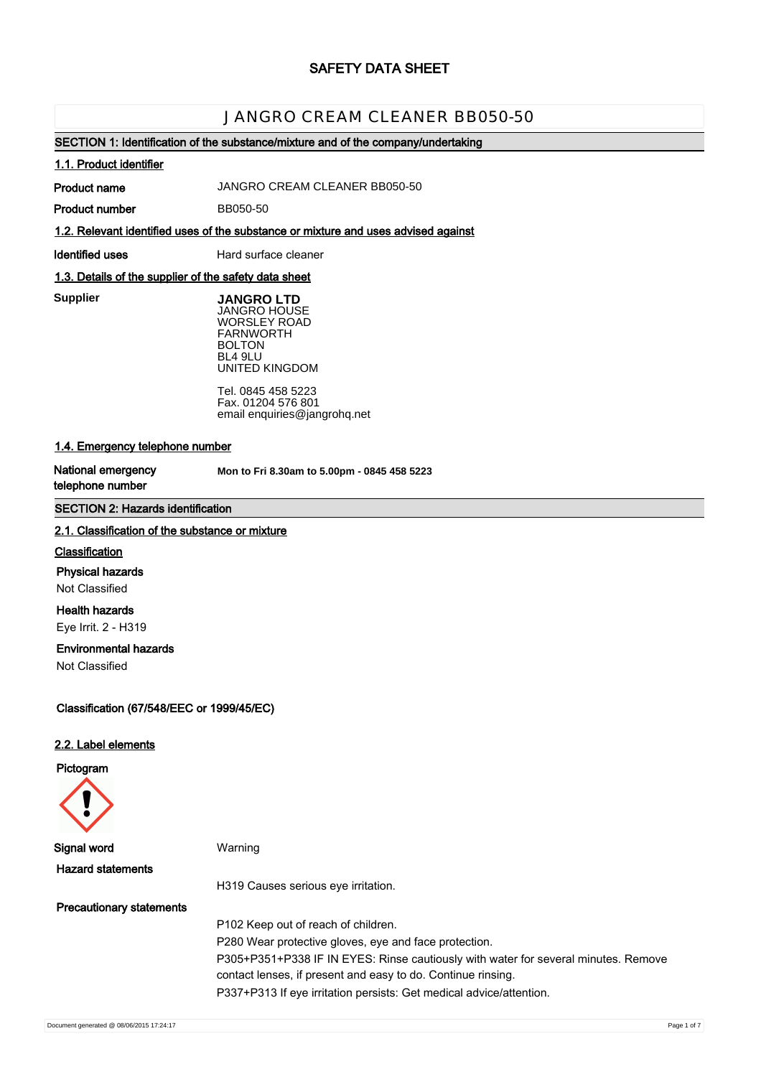# **SAFETY DATA SHEET**

# JANGRO CREAM CLEANER BB050-50

## **SECTION 1: Identification of the substance/mixture and of the company/undertaking**

#### **1.1. Product identifier**

**Product name**

JANGRO CREAM CLEANER BB050-50

**Product number** BB050-50

**1.2. Relevant identified uses of the substance or mixture and uses advised against**

**Identified uses** Hard surface cleaner

## **1.3. Details of the supplier of the safety data sheet**

**Supplier** 

**Supplier JANGRO LTD** JANGRO HOUSE WORSLEY ROAD FARNWORTH BOLTON BL4 9LU UNITED KINGDOM

Tel. 0845 458 5223 Fax. 01204 576 801 email enquiries@jangrohq.net

## **1.4. Emergency telephone number**

**National emergency telephone number**

**Mon to Fri 8.30am to 5.00pm - 0845 458 5223**

## **SECTION 2: Hazards identification**

#### **2.1. Classification of the substance or mixture**

### **Classification**

**Physical hazards**

Not Classified

## **Health hazards**

Eye Irrit. 2 - H319

## **Environmental hazards**

Not Classified

## **Classification (67/548/EEC or 1999/45/EC)**

#### **2.2. Label elements**

#### **Pictogram**



**Signal word** Warning **Hazard statements** H319 Causes serious eye irritation. **Precautionary statements** P102 Keep out of reach of children. P280 Wear protective gloves, eye and face protection. P305+P351+P338 IF IN EYES: Rinse cautiously with water for several minutes. Remove contact lenses, if present and easy to do. Continue rinsing. P337+P313 If eye irritation persists: Get medical advice/attention.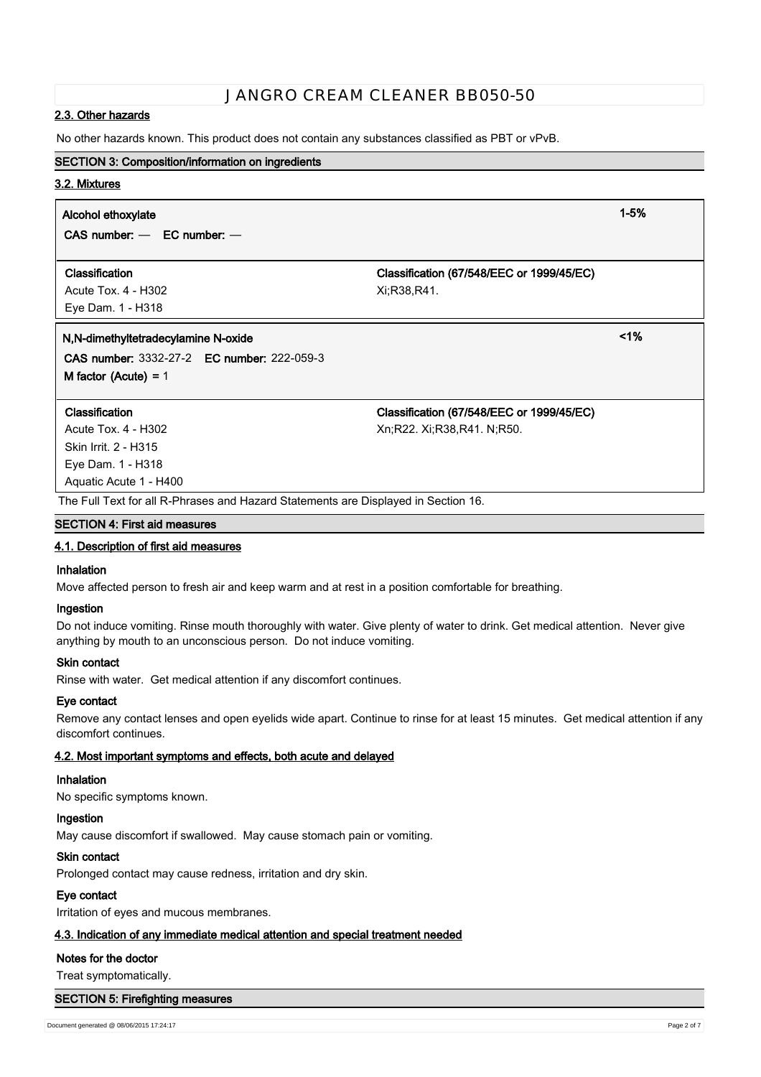#### **2.3. Other hazards**

No other hazards known. This product does not contain any substances classified as PBT or vPvB.

## **SECTION 3: Composition/information on ingredients**

## **3.2. Mixtures**

## **Alcohol ethoxylate 1-5%**

**CAS number:** — **EC number:** —

#### **Classification Classification (67/548/EEC or 1999/45/EC)**

Acute Tox. 4 - H302 Xi;R38,R41. Eye Dam. 1 - H318

## **N,N-dimethyltetradecylamine N-oxide <1%**

**CAS number:** 3332-27-2 **EC number:** 222-059-3 **M factor (Acute) =** 1

Skin Irrit. 2 - H315 Eye Dam. 1 - H318 Aquatic Acute 1 - H400

**Classification Classification (67/548/EEC or 1999/45/EC)**

Acute Tox. 4 - H302 Xn;R22. Xi;R38,R41. N;R50.

The Full Text for all R-Phrases and Hazard Statements are Displayed in Section 16.

## **SECTION 4: First aid measures**

## **4.1. Description of first aid measures**

#### **Inhalation**

Move affected person to fresh air and keep warm and at rest in a position comfortable for breathing.

#### **Ingestion**

Do not induce vomiting. Rinse mouth thoroughly with water. Give plenty of water to drink. Get medical attention. Never give anything by mouth to an unconscious person. Do not induce vomiting.

#### **Skin contact**

Rinse with water. Get medical attention if any discomfort continues.

## **Eye contact**

Remove any contact lenses and open eyelids wide apart. Continue to rinse for at least 15 minutes. Get medical attention if any discomfort continues.

## **4.2. Most important symptoms and effects, both acute and delayed**

## **Inhalation**

No specific symptoms known.

### **Ingestion**

May cause discomfort if swallowed. May cause stomach pain or vomiting.

## **Skin contact**

Prolonged contact may cause redness, irritation and dry skin.

## **Eye contact**

Irritation of eyes and mucous membranes.

## **4.3. Indication of any immediate medical attention and special treatment needed**

## **Notes for the doctor**

Treat symptomatically.

## **SECTION 5: Firefighting measures**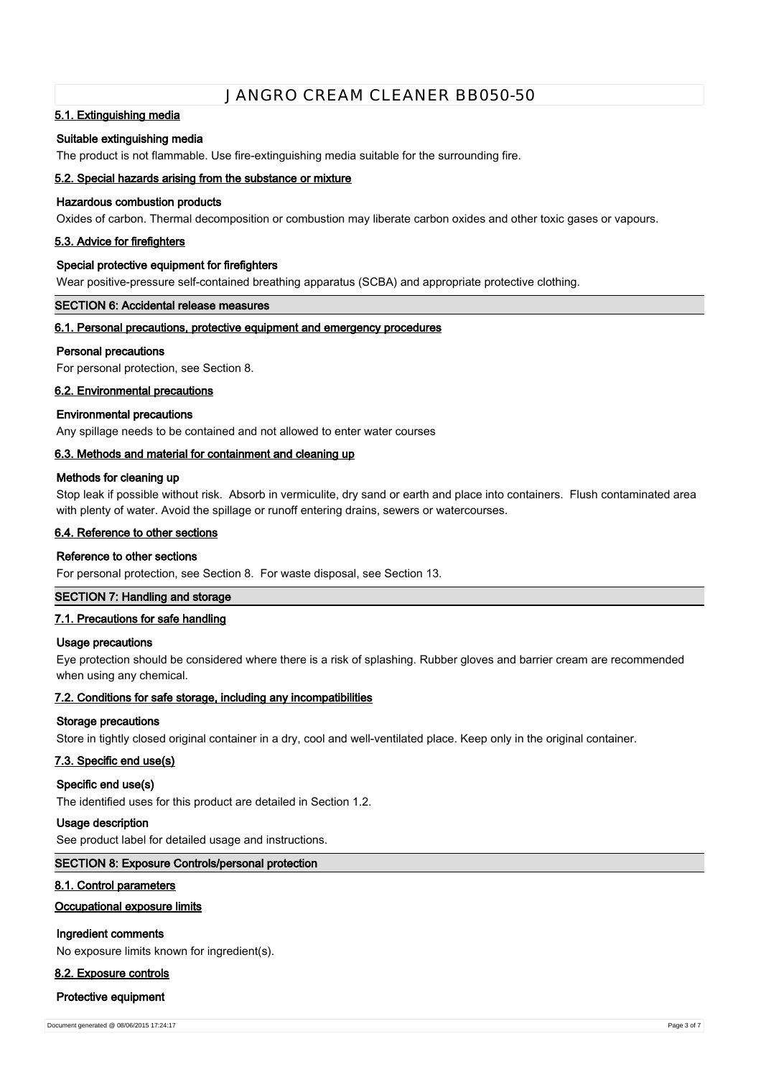## **5.1. Extinguishing media**

#### **Suitable extinguishing media**

The product is not flammable. Use fire-extinguishing media suitable for the surrounding fire.

## **5.2. Special hazards arising from the substance or mixture**

## **Hazardous combustion products**

Oxides of carbon. Thermal decomposition or combustion may liberate carbon oxides and other toxic gases or vapours.

#### **5.3. Advice for firefighters**

#### **Special protective equipment for firefighters**

Wear positive-pressure self-contained breathing apparatus (SCBA) and appropriate protective clothing.

## **SECTION 6: Accidental release measures**

## **6.1. Personal precautions, protective equipment and emergency procedures**

#### **Personal precautions**

For personal protection, see Section 8.

#### **6.2. Environmental precautions**

## **Environmental precautions**

Any spillage needs to be contained and not allowed to enter water courses

## **6.3. Methods and material for containment and cleaning up**

#### **Methods for cleaning up**

Stop leak if possible without risk. Absorb in vermiculite, dry sand or earth and place into containers. Flush contaminated area with plenty of water. Avoid the spillage or runoff entering drains, sewers or watercourses.

## **6.4. Reference to other sections**

#### **Reference to other sections**

For personal protection, see Section 8. For waste disposal, see Section 13.

## **SECTION 7: Handling and storage**

#### **7.1. Precautions for safe handling**

#### **Usage precautions**

Eye protection should be considered where there is a risk of splashing. Rubber gloves and barrier cream are recommended when using any chemical.

## **7.2. Conditions for safe storage, including any incompatibilities**

#### **Storage precautions**

Store in tightly closed original container in a dry, cool and well-ventilated place. Keep only in the original container.

#### **7.3. Specific end use(s)**

#### **Specific end use(s)**

The identified uses for this product are detailed in Section 1.2.

#### **Usage description**

See product label for detailed usage and instructions.

## **SECTION 8: Exposure Controls/personal protection**

#### **8.1. Control parameters**

## **Occupational exposure limits**

## **Ingredient comments**

No exposure limits known for ingredient(s).

## **8.2. Exposure controls**

#### **Protective equipment**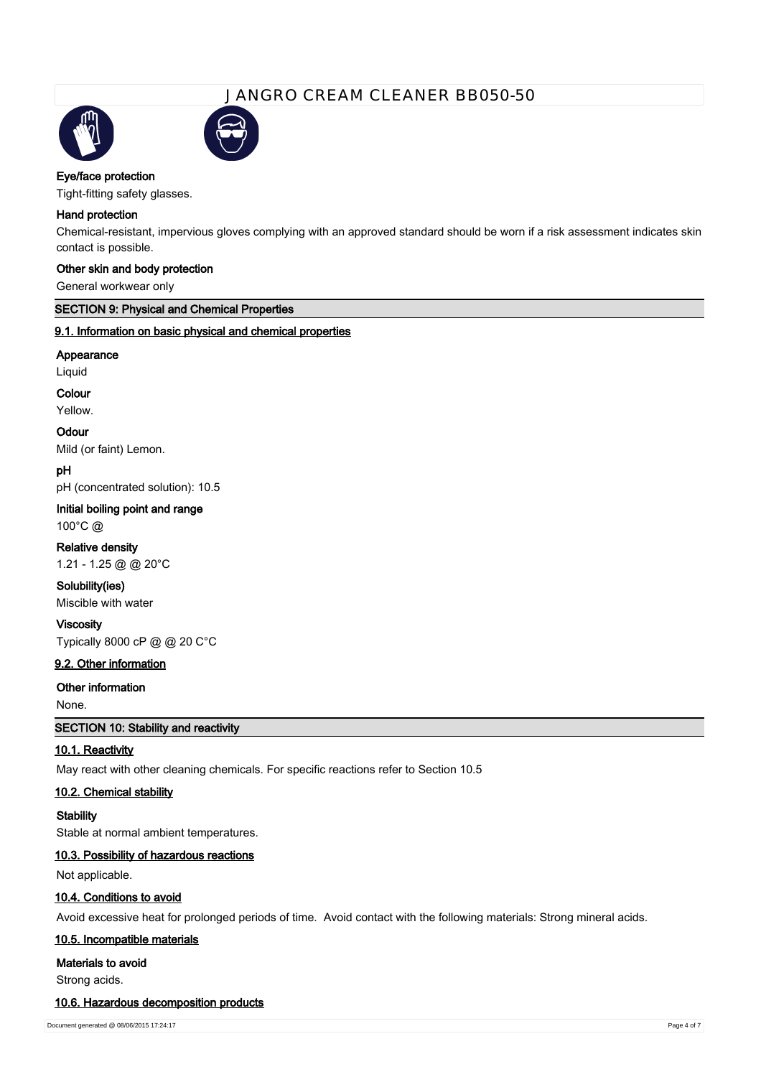



## **Eye/face protection**

Tight-fitting safety glasses.

## **Hand protection**

Chemical-resistant, impervious gloves complying with an approved standard should be worn if a risk assessment indicates skin contact is possible.

## **Other skin and body protection**

General workwear only

## **SECTION 9: Physical and Chemical Properties**

## **9.1. Information on basic physical and chemical properties**

#### **Appearance**

Liquid

#### **Colour**

Yellow.

## **Odour**

Mild (or faint) Lemon.

## **pH**

pH (concentrated solution): 10.5

## **Initial boiling point and range**

100°C @

## **Relative density**

1.21 - 1.25 @ @ 20°C

# **Solubility(ies)**

Miscible with water

## **Viscosity**

Typically 8000 cP @ @ 20 C°C

## **9.2. Other information**

## **Other information**

None.

## **SECTION 10: Stability and reactivity**

## **10.1. Reactivity**

May react with other cleaning chemicals. For specific reactions refer to Section 10.5

## **10.2. Chemical stability**

**Stability**

Stable at normal ambient temperatures.

## **10.3. Possibility of hazardous reactions**

Not applicable.

## **10.4. Conditions to avoid**

Avoid excessive heat for prolonged periods of time. Avoid contact with the following materials: Strong mineral acids.

## **10.5. Incompatible materials**

**Materials to avoid**

Strong acids.

## **10.6. Hazardous decomposition products**

Document generated @ 08/06/2015 17:24:17 Page 4 of 7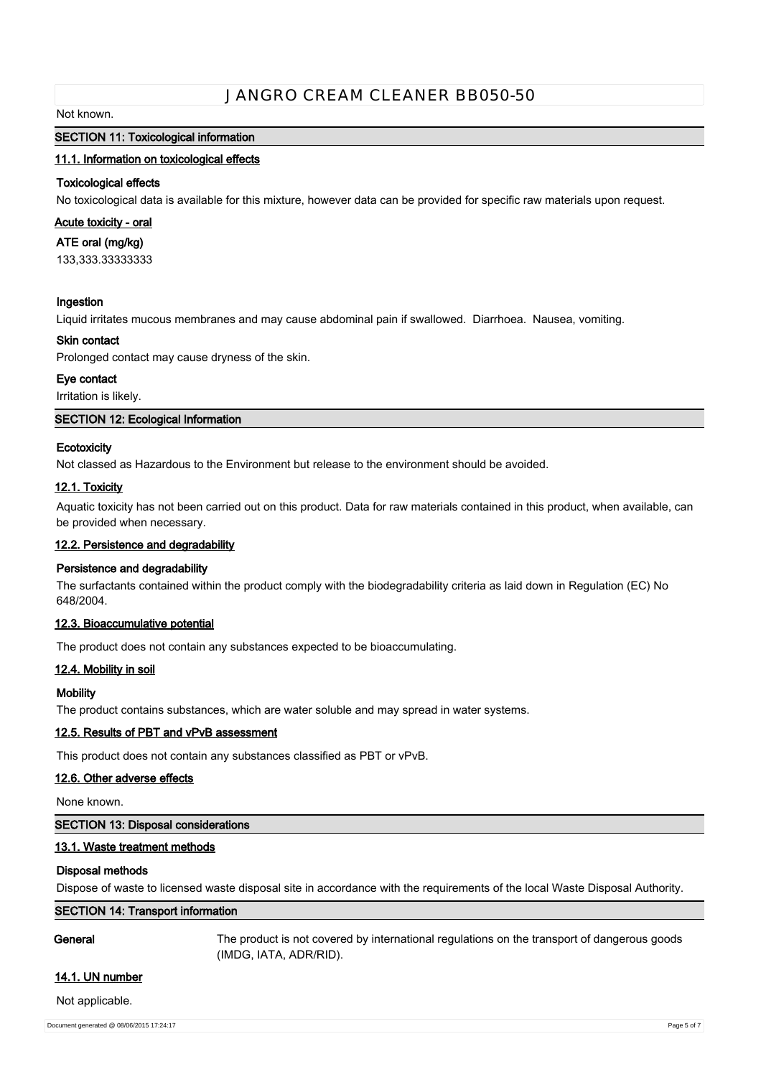#### Not known.

## **SECTION 11: Toxicological information**

#### **11.1. Information on toxicological effects**

#### **Toxicological effects**

No toxicological data is available for this mixture, however data can be provided for specific raw materials upon request.

#### **Acute toxicity - oral**

**ATE oral (mg/kg)**

133,333.33333333

#### **Ingestion**

Liquid irritates mucous membranes and may cause abdominal pain if swallowed. Diarrhoea. Nausea, vomiting.

#### **Skin contact**

Prolonged contact may cause dryness of the skin.

#### **Eye contact**

Irritation is likely.

#### **SECTION 12: Ecological Information**

## **Ecotoxicity**

Not classed as Hazardous to the Environment but release to the environment should be avoided.

## **12.1. Toxicity**

Aquatic toxicity has not been carried out on this product. Data for raw materials contained in this product, when available, can be provided when necessary.

#### **12.2. Persistence and degradability**

### **Persistence and degradability**

The surfactants contained within the product comply with the biodegradability criteria as laid down in Regulation (EC) No 648/2004.

## **12.3. Bioaccumulative potential**

The product does not contain any substances expected to be bioaccumulating.

#### **12.4. Mobility in soil**

#### **Mobility**

The product contains substances, which are water soluble and may spread in water systems.

#### **12.5. Results of PBT and vPvB assessment**

This product does not contain any substances classified as PBT or vPvB.

#### **12.6. Other adverse effects**

None known.

## **SECTION 13: Disposal considerations**

## **13.1. Waste treatment methods**

#### **Disposal methods**

Dispose of waste to licensed waste disposal site in accordance with the requirements of the local Waste Disposal Authority.

## **SECTION 14: Transport information**

**General** The product is not covered by international regulations on the transport of dangerous goods (IMDG, IATA, ADR/RID).

## **14.1. UN number**

Not applicable.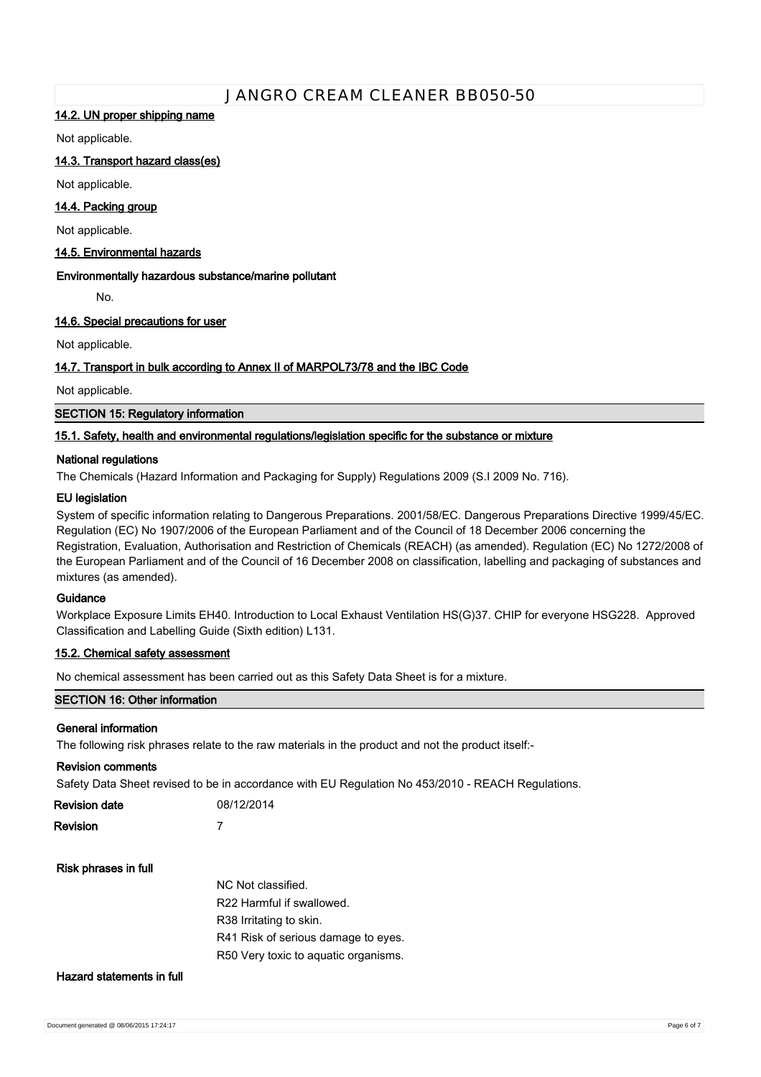## **14.2. UN proper shipping name**

Not applicable.

## **14.3. Transport hazard class(es)**

Not applicable.

## **14.4. Packing group**

Not applicable.

#### **14.5. Environmental hazards**

#### **Environmentally hazardous substance/marine pollutant**

No.

## **14.6. Special precautions for user**

Not applicable.

## **14.7. Transport in bulk according to Annex II of MARPOL73/78 and the IBC Code**

Not applicable.

**SECTION 15: Regulatory information**

## **15.1. Safety, health and environmental regulations/legislation specific for the substance or mixture**

#### **National regulations**

The Chemicals (Hazard Information and Packaging for Supply) Regulations 2009 (S.I 2009 No. 716).

#### **EU legislation**

System of specific information relating to Dangerous Preparations. 2001/58/EC. Dangerous Preparations Directive 1999/45/EC. Regulation (EC) No 1907/2006 of the European Parliament and of the Council of 18 December 2006 concerning the Registration, Evaluation, Authorisation and Restriction of Chemicals (REACH) (as amended). Regulation (EC) No 1272/2008 of the European Parliament and of the Council of 16 December 2008 on classification, labelling and packaging of substances and mixtures (as amended).

## **Guidance**

Workplace Exposure Limits EH40. Introduction to Local Exhaust Ventilation HS(G)37. CHIP for everyone HSG228. Approved Classification and Labelling Guide (Sixth edition) L131.

#### **15.2. Chemical safety assessment**

No chemical assessment has been carried out as this Safety Data Sheet is for a mixture.

#### **SECTION 16: Other information**

#### **General information**

The following risk phrases relate to the raw materials in the product and not the product itself:-

#### **Revision comments**

Safety Data Sheet revised to be in accordance with EU Regulation No 453/2010 - REACH Regulations.

| Revision date | 08/12/2014 |
|---------------|------------|
| Revision      |            |

## **Risk phrases in full**

| NC Not classified.                   |
|--------------------------------------|
| R22 Harmful if swallowed.            |
| R38 Irritating to skin.              |
| R41 Risk of serious damage to eyes.  |
| R50 Very toxic to aquatic organisms. |
|                                      |

## **Hazard statements in full**